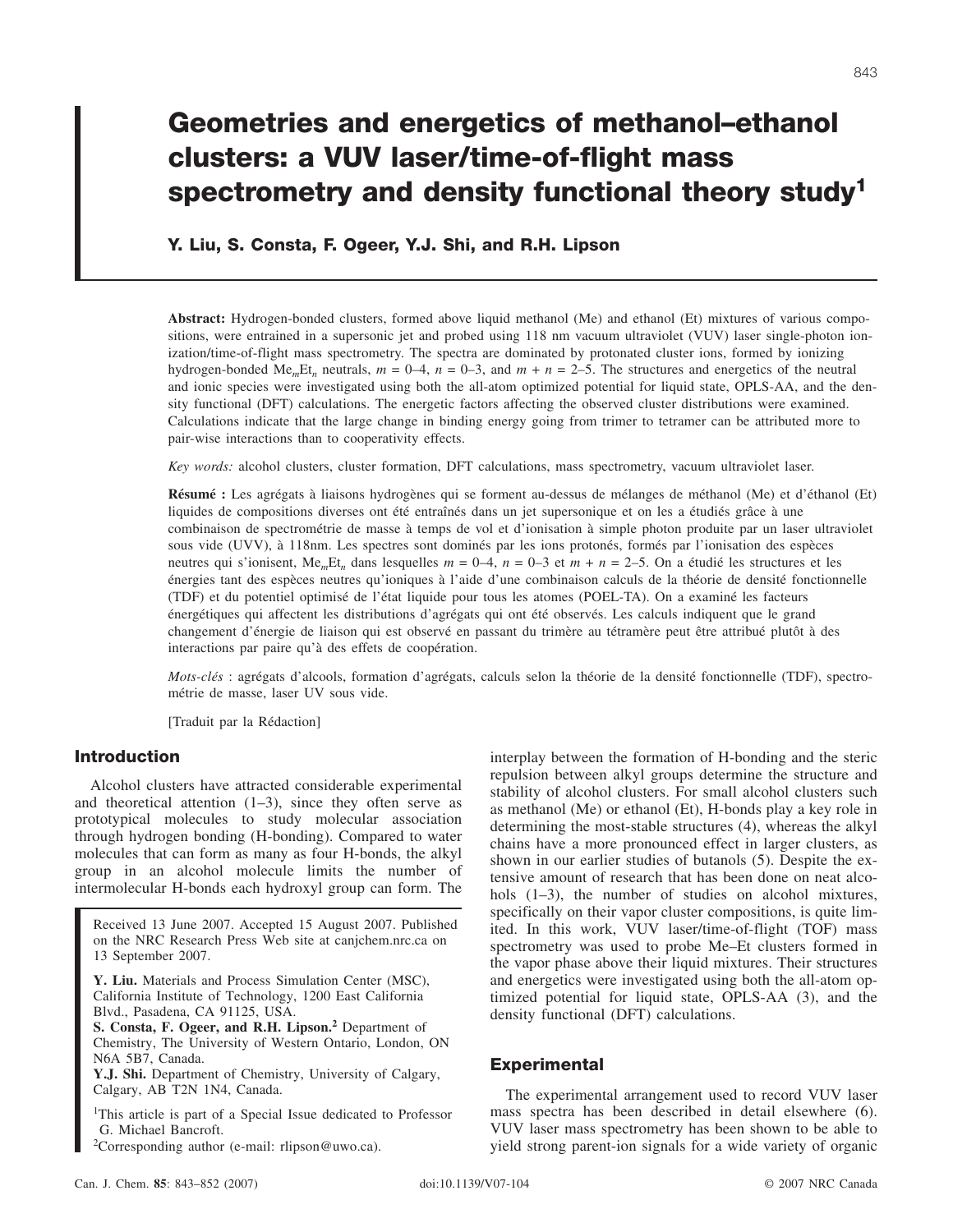# **Geometries and energetics of methanol–ethanol clusters: a VUV laser/time-of-flight mass spectrometry and density functional theory study1**

**Y. Liu, S. Consta, F. Ogeer, Y.J. Shi, and R.H. Lipson**

**Abstract:** Hydrogen-bonded clusters, formed above liquid methanol (Me) and ethanol (Et) mixtures of various compositions, were entrained in a supersonic jet and probed using 118 nm vacuum ultraviolet (VUV) laser single-photon ionization/time-of-flight mass spectrometry. The spectra are dominated by protonated cluster ions, formed by ionizing hydrogen-bonded Me<sub>m</sub>Et<sub>n</sub> neutrals,  $m = 0-4$ ,  $n = 0-3$ , and  $m + n = 2-5$ . The structures and energetics of the neutral and ionic species were investigated using both the all-atom optimized potential for liquid state, OPLS-AA, and the density functional (DFT) calculations. The energetic factors affecting the observed cluster distributions were examined. Calculations indicate that the large change in binding energy going from trimer to tetramer can be attributed more to pair-wise interactions than to cooperativity effects.

*Key words:* alcohol clusters, cluster formation, DFT calculations, mass spectrometry, vacuum ultraviolet laser.

**Résumé :** Les agrégats à liaisons hydrogènes qui se forment au-dessus de mélanges de méthanol (Me) et d'éthanol (Et) liquides de compositions diverses ont été entraînés dans un jet supersonique et on les a étudiés grâce à une combinaison de spectrométrie de masse à temps de vol et d'ionisation à simple photon produite par un laser ultraviolet sous vide (UVV), à 118nm. Les spectres sont dominés par les ions protonés, formés par l'ionisation des espèces neutres qui s'ionisent, Me*m*Et*<sup>n</sup>* dans lesquelles *m* = 0–4, *n* = 0–3 et *m* + *n* = 2–5. On a étudié les structures et les énergies tant des espèces neutres qu'ioniques à l'aide d'une combinaison calculs de la théorie de densité fonctionnelle (TDF) et du potentiel optimisé de l'état liquide pour tous les atomes (POEL-TA). On a examiné les facteurs énergétiques qui affectent les distributions d'agrégats qui ont été observés. Les calculs indiquent que le grand changement d'énergie de liaison qui est observé en passant du trimère au tétramère peut être attribué plutôt à des interactions par paire qu'à des effets de coopération.

*Mots-clés* : agrégats d'alcools, formation d'agrégats, calculs selon la théorie de la densité fonctionnelle (TDF), spectrométrie de masse, laser UV sous vide.

[Traduit par la Rédaction]

# **Introduction**

Alcohol clusters have attracted considerable experimental and theoretical attention  $(1-3)$ , since they often serve as prototypical molecules to study molecular association through hydrogen bonding (H-bonding). Compared to water molecules that can form as many as four H-bonds, the alkyl group in an alcohol molecule limits the number of intermolecular H-bonds each hydroxyl group can form. The

Received 13 June 2007. Accepted 15 August 2007. Published on the NRC Research Press Web site at canjchem.nrc.ca on 13 September 2007.

**Y. Liu.** Materials and Process Simulation Center (MSC), California Institute of Technology, 1200 East California Blvd., Pasadena, CA 91125, USA.

**S. Consta, F. Ogeer, and R.H. Lipson.<sup>2</sup>** Department of Chemistry, The University of Western Ontario, London, ON N6A 5B7, Canada.

**Y.J. Shi.** Department of Chemistry, University of Calgary, Calgary, AB T2N 1N4, Canada.

<sup>1</sup>This article is part of a Special Issue dedicated to Professor G. Michael Bancroft.

2 Corresponding author (e-mail: rlipson@uwo.ca).

repulsion between alkyl groups determine the structure and stability of alcohol clusters. For small alcohol clusters such as methanol (Me) or ethanol (Et), H-bonds play a key role in determining the most-stable structures (4), whereas the alkyl chains have a more pronounced effect in larger clusters, as shown in our earlier studies of butanols (5). Despite the extensive amount of research that has been done on neat alcohols  $(1-3)$ , the number of studies on alcohol mixtures, specifically on their vapor cluster compositions, is quite limited. In this work, VUV laser/time-of-flight (TOF) mass spectrometry was used to probe Me–Et clusters formed in the vapor phase above their liquid mixtures. Their structures and energetics were investigated using both the all-atom optimized potential for liquid state, OPLS-AA (3), and the density functional (DFT) calculations.

interplay between the formation of H-bonding and the steric

# **Experimental**

The experimental arrangement used to record VUV laser mass spectra has been described in detail elsewhere (6). VUV laser mass spectrometry has been shown to be able to yield strong parent-ion signals for a wide variety of organic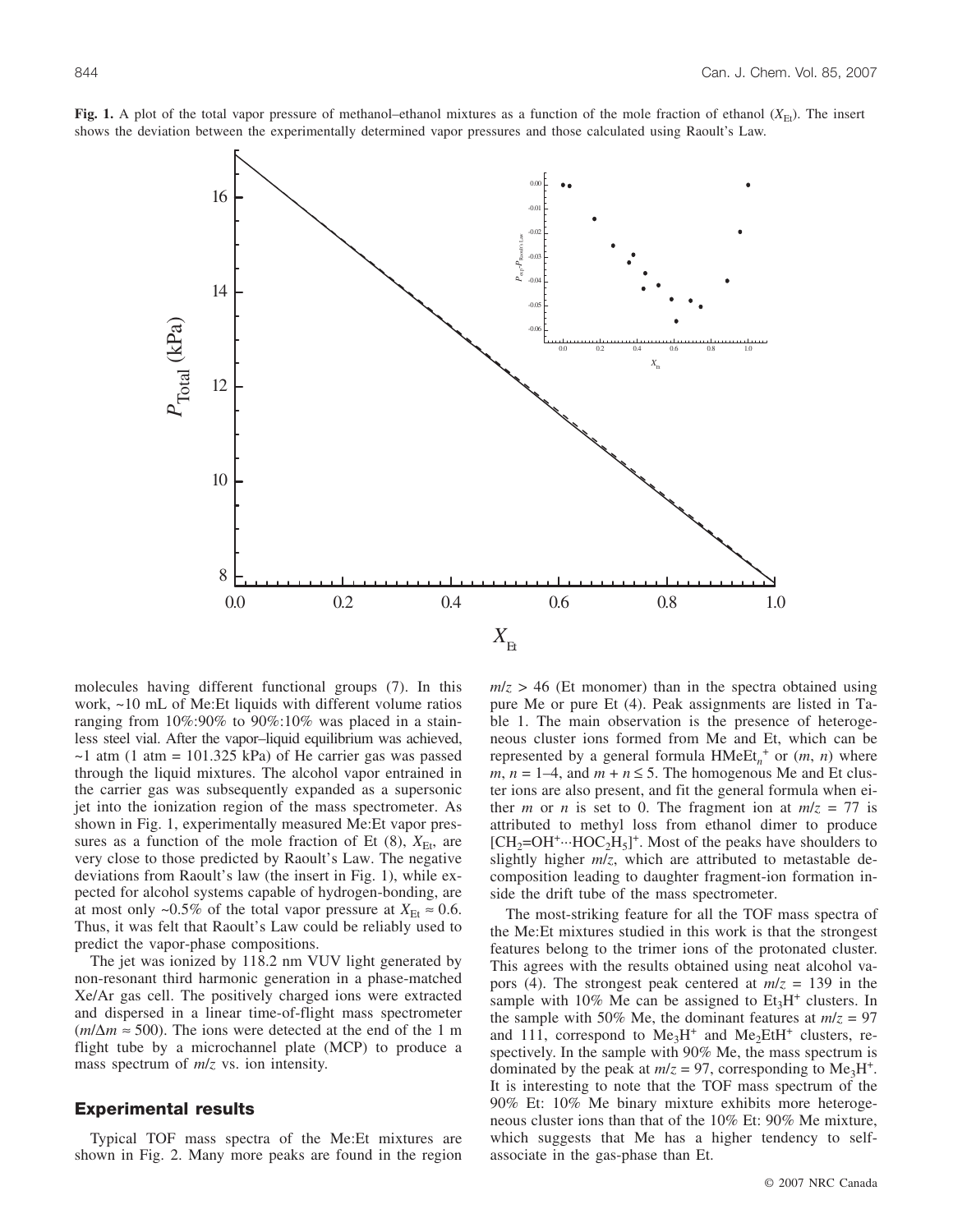

**Fig. 1.** A plot of the total vapor pressure of methanol–ethanol mixtures as a function of the mole fraction of ethanol  $(X_{\text{Et}})$ . The insert shows the deviation between the experimentally determined vapor pressures and those calculated using Raoult's Law.

molecules having different functional groups (7). In this work, ~10 mL of Me:Et liquids with different volume ratios ranging from 10%:90% to 90%:10% was placed in a stainless steel vial. After the vapor–liquid equilibrium was achieved,  $\sim$ 1 atm (1 atm = 101.325 kPa) of He carrier gas was passed through the liquid mixtures. The alcohol vapor entrained in the carrier gas was subsequently expanded as a supersonic jet into the ionization region of the mass spectrometer. As shown in Fig. 1, experimentally measured Me:Et vapor pressures as a function of the mole fraction of Et  $(8)$ ,  $X_{\text{Et}}$ , are very close to those predicted by Raoult's Law. The negative deviations from Raoult's law (the insert in Fig. 1), while expected for alcohol systems capable of hydrogen-bonding, are at most only ~0.5% of the total vapor pressure at  $X_{\text{Et}} \approx 0.6$ . Thus, it was felt that Raoult's Law could be reliably used to predict the vapor-phase compositions.

The jet was ionized by 118.2 nm VUV light generated by non-resonant third harmonic generation in a phase-matched Xe/Ar gas cell. The positively charged ions were extracted and dispersed in a linear time-of-flight mass spectrometer  $(m/\Delta m \approx 500)$ . The ions were detected at the end of the 1 m flight tube by a microchannel plate (MCP) to produce a mass spectrum of *m*/*z* vs. ion intensity.

#### **Experimental results**

Typical TOF mass spectra of the Me:Et mixtures are shown in Fig. 2. Many more peaks are found in the region  $m/z > 46$  (Et monomer) than in the spectra obtained using pure Me or pure Et (4). Peak assignments are listed in Table 1. The main observation is the presence of heterogeneous cluster ions formed from Me and Et, which can be represented by a general formula  $HMeEt_n^+$  or  $(m, n)$  where  $m, n = 1-4$ , and  $m + n \leq 5$ . The homogenous Me and Et cluster ions are also present, and fit the general formula when either *m* or *n* is set to 0. The fragment ion at  $m/z = 77$  is attributed to methyl loss from ethanol dimer to produce  $[CH_2=OH^+ \cdots HOC_2H_5]^+$ . Most of the peaks have shoulders to slightly higher *m*/*z*, which are attributed to metastable decomposition leading to daughter fragment-ion formation inside the drift tube of the mass spectrometer.

The most-striking feature for all the TOF mass spectra of the Me:Et mixtures studied in this work is that the strongest features belong to the trimer ions of the protonated cluster. This agrees with the results obtained using neat alcohol vapors (4). The strongest peak centered at *m*/*z* = 139 in the sample with 10% Me can be assigned to  $Et<sub>3</sub>H<sup>+</sup>$  clusters. In the sample with 50% Me, the dominant features at  $m/z = 97$ and 111, correspond to  $Me<sub>3</sub>H<sup>+</sup>$  and  $Me<sub>2</sub>EtH<sup>+</sup>$  clusters, respectively. In the sample with 90% Me, the mass spectrum is dominated by the peak at  $m/z = 97$ , corresponding to Me<sub>3</sub>H<sup>+</sup>. It is interesting to note that the TOF mass spectrum of the 90% Et: 10% Me binary mixture exhibits more heterogeneous cluster ions than that of the 10% Et: 90% Me mixture, which suggests that Me has a higher tendency to selfassociate in the gas-phase than Et.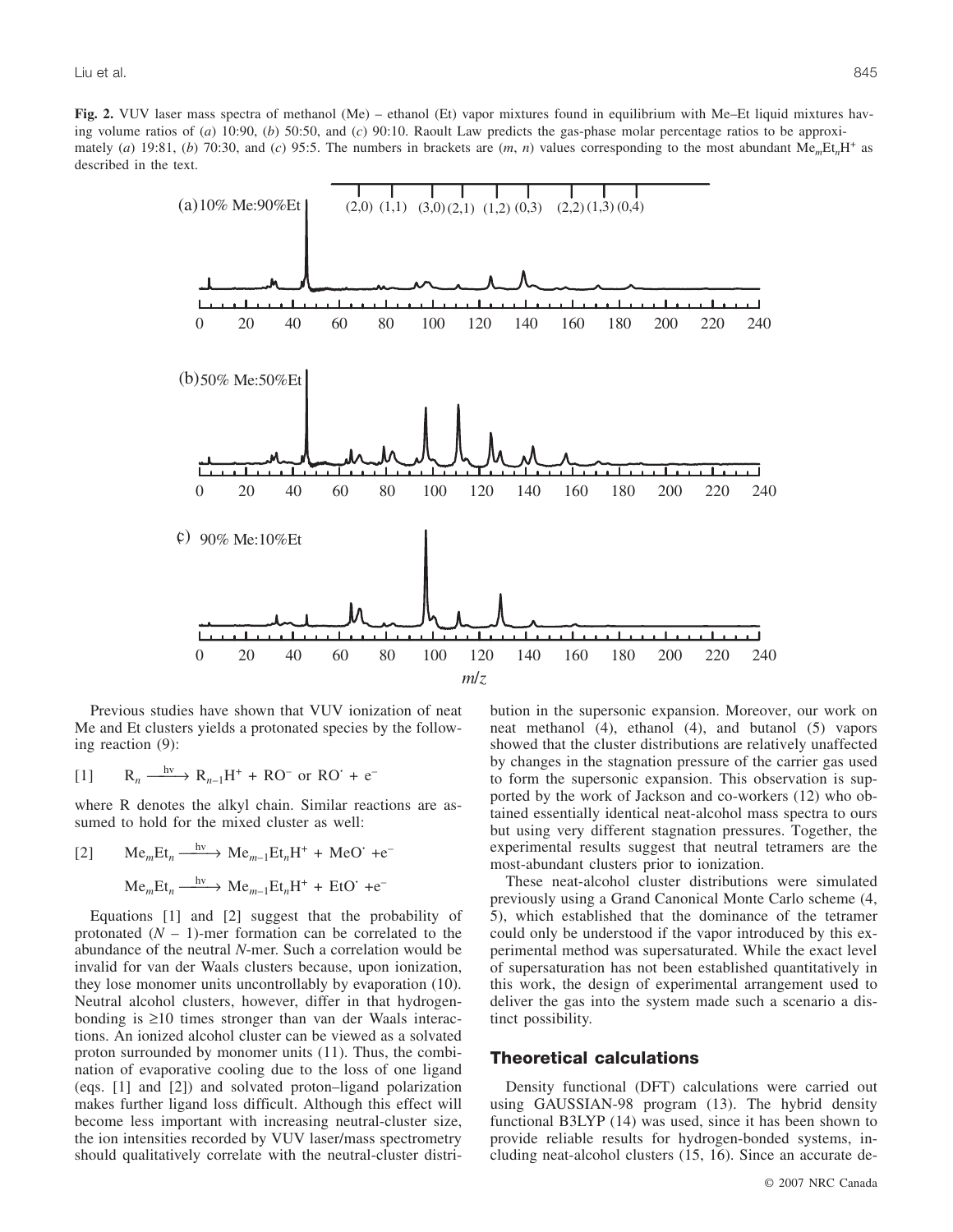**Fig. 2.** VUV laser mass spectra of methanol (Me) – ethanol (Et) vapor mixtures found in equilibrium with Me–Et liquid mixtures having volume ratios of (*a*) 10:90, (*b*) 50:50, and (*c*) 90:10. Raoult Law predicts the gas-phase molar percentage ratios to be approximately (*a*) 19:81, (*b*) 70:30, and (*c*) 95:5. The numbers in brackets are  $(m, n)$  values corresponding to the most abundant Me<sub>m</sub>Et<sub>n</sub>H<sup>+</sup> as described in the text.



Previous studies have shown that VUV ionization of neat Me and Et clusters yields a protonated species by the following reaction (9):

[1] 
$$
R_n \xrightarrow{hv} R_{n-1}H^+ + RO^- \text{ or } RO^+ + e^-
$$

where R denotes the alkyl chain. Similar reactions are assumed to hold for the mixed cluster as well:

[2] 
$$
Me_mEt_n \xrightarrow{hv} Me_{m-1}Et_nH^+ + MeO^+ + e^-
$$
  
\n $Me_mEt_n \xrightarrow{hv} Me_{m-1}Et_nH^+ + EtO^+ + e^-$ 

Equations [1] and [2] suggest that the probability of protonated  $(N - 1)$ -mer formation can be correlated to the abundance of the neutral *N*-mer. Such a correlation would be invalid for van der Waals clusters because, upon ionization, they lose monomer units uncontrollably by evaporation (10). Neutral alcohol clusters, however, differ in that hydrogenbonding is ≥10 times stronger than van der Waals interactions. An ionized alcohol cluster can be viewed as a solvated proton surrounded by monomer units (11). Thus, the combination of evaporative cooling due to the loss of one ligand (eqs. [1] and [2]) and solvated proton–ligand polarization makes further ligand loss difficult. Although this effect will become less important with increasing neutral-cluster size, the ion intensities recorded by VUV laser/mass spectrometry should qualitatively correlate with the neutral-cluster distribution in the supersonic expansion. Moreover, our work on neat methanol (4), ethanol (4), and butanol (5) vapors showed that the cluster distributions are relatively unaffected by changes in the stagnation pressure of the carrier gas used to form the supersonic expansion. This observation is supported by the work of Jackson and co-workers (12) who obtained essentially identical neat-alcohol mass spectra to ours but using very different stagnation pressures. Together, the experimental results suggest that neutral tetramers are the most-abundant clusters prior to ionization.

These neat-alcohol cluster distributions were simulated previously using a Grand Canonical Monte Carlo scheme (4, 5), which established that the dominance of the tetramer could only be understood if the vapor introduced by this experimental method was supersaturated. While the exact level of supersaturation has not been established quantitatively in this work, the design of experimental arrangement used to deliver the gas into the system made such a scenario a distinct possibility.

# **Theoretical calculations**

Density functional (DFT) calculations were carried out using GAUSSIAN-98 program (13). The hybrid density functional B3LYP (14) was used, since it has been shown to provide reliable results for hydrogen-bonded systems, including neat-alcohol clusters (15, 16). Since an accurate de-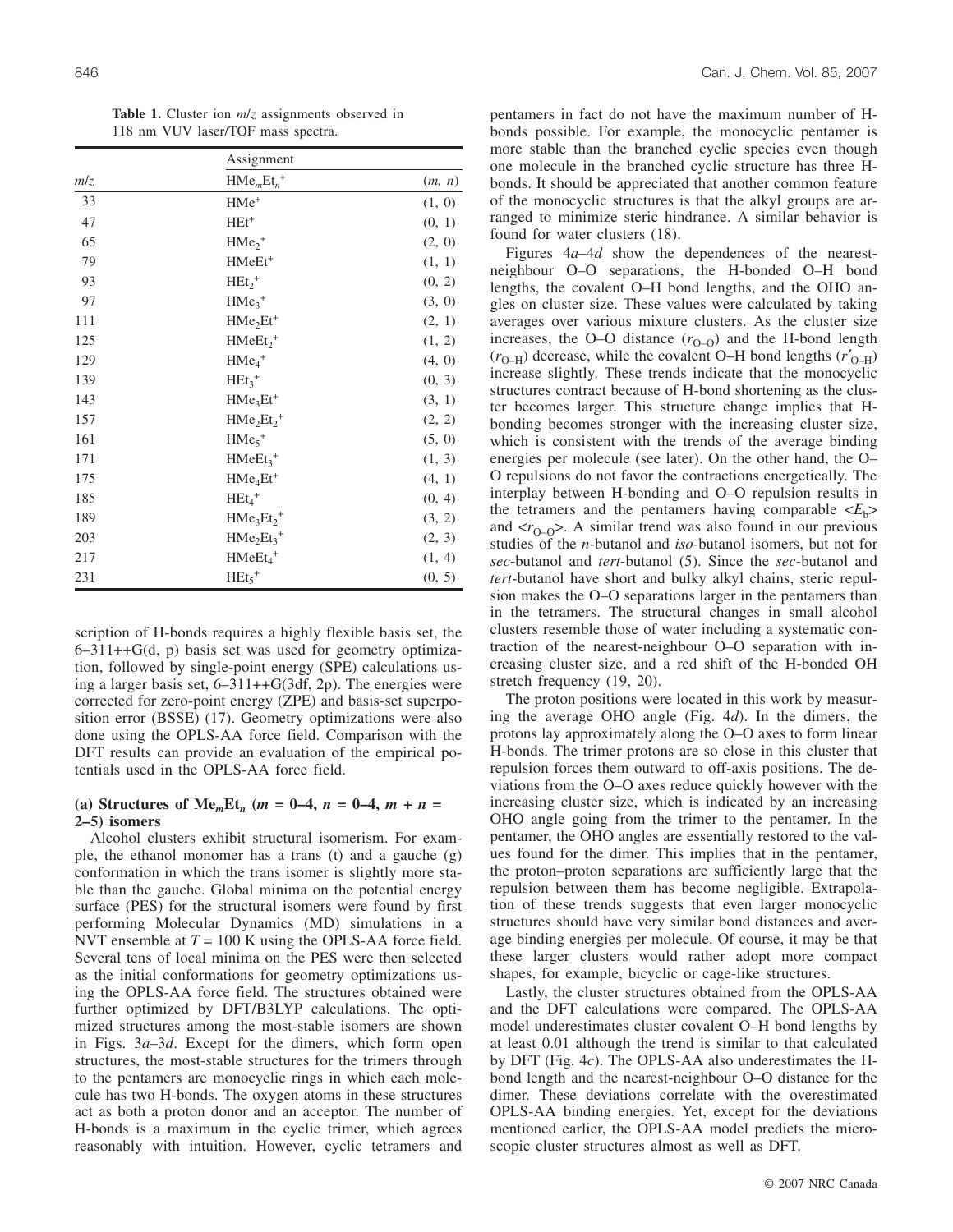|     | Assignment             |        |  |  |  |
|-----|------------------------|--------|--|--|--|
| m/z | $HMemEtn+$             | (m, n) |  |  |  |
| 33  | $HMe+$                 | (1, 0) |  |  |  |
| 47  | $HEt^+$                | (0, 1) |  |  |  |
| 65  | $HMe2+$                | (2, 0) |  |  |  |
| 79  | HMeEt <sup>+</sup>     | (1, 1) |  |  |  |
| 93  | $HEt2+$                | (0, 2) |  |  |  |
| 97  | $HMe3+$                | (3, 0) |  |  |  |
| 111 | $HMe2Et+$              | (2, 1) |  |  |  |
| 125 | $HMeEt2+$              | (1, 2) |  |  |  |
| 129 | $HMe4+$                | (4, 0) |  |  |  |
| 139 | $HEt_3$ <sup>+</sup>   | (0, 3) |  |  |  |
| 143 | $HMe3Et+$              | (3, 1) |  |  |  |
| 157 | $HMe2Et2+$             | (2, 2) |  |  |  |
| 161 | $HMe5+$                | (5, 0) |  |  |  |
| 171 | $HMeEt3+$              | (1, 3) |  |  |  |
| 175 | $HMe4Et+$              | (4, 1) |  |  |  |
| 185 | $HEt_4$ <sup>+</sup>   | (0, 4) |  |  |  |
| 189 | $HMe3Et2+$             | (3, 2) |  |  |  |
| 203 | $HMe2Et3+$             | (2, 3) |  |  |  |
| 217 | $HMeEt4+$              | (1, 4) |  |  |  |
| 231 | $HEt_{5}$ <sup>+</sup> | (0, 5) |  |  |  |

**Table 1.** Cluster ion *m*/*z* assignments observed in 118 nm VUV laser/TOF mass spectra.

scription of H-bonds requires a highly flexible basis set, the 6–311++G(d, p) basis set was used for geometry optimization, followed by single-point energy (SPE) calculations using a larger basis set, 6–311++G(3df, 2p). The energies were corrected for zero-point energy (ZPE) and basis-set superposition error (BSSE) (17). Geometry optimizations were also done using the OPLS-AA force field. Comparison with the DFT results can provide an evaluation of the empirical potentials used in the OPLS-AA force field.

# (a) Structures of Me<sub>*m*</sub>Et<sub>*n*</sub> ( $m = 0-4$ ,  $n = 0-4$ ,  $m + n = 0$ **2–5) isomers**

Alcohol clusters exhibit structural isomerism. For example, the ethanol monomer has a trans (t) and a gauche (g) conformation in which the trans isomer is slightly more stable than the gauche. Global minima on the potential energy surface (PES) for the structural isomers were found by first performing Molecular Dynamics (MD) simulations in a NVT ensemble at *T* = 100 K using the OPLS-AA force field. Several tens of local minima on the PES were then selected as the initial conformations for geometry optimizations using the OPLS-AA force field. The structures obtained were further optimized by DFT/B3LYP calculations. The optimized structures among the most-stable isomers are shown in Figs. 3*a*–3*d*. Except for the dimers, which form open structures, the most-stable structures for the trimers through to the pentamers are monocyclic rings in which each molecule has two H-bonds. The oxygen atoms in these structures act as both a proton donor and an acceptor. The number of H-bonds is a maximum in the cyclic trimer, which agrees reasonably with intuition. However, cyclic tetramers and pentamers in fact do not have the maximum number of Hbonds possible. For example, the monocyclic pentamer is more stable than the branched cyclic species even though one molecule in the branched cyclic structure has three Hbonds. It should be appreciated that another common feature of the monocyclic structures is that the alkyl groups are arranged to minimize steric hindrance. A similar behavior is found for water clusters (18).

Figures 4*a*–4*d* show the dependences of the nearestneighbour O–O separations, the H-bonded O–H bond lengths, the covalent O–H bond lengths, and the OHO angles on cluster size. These values were calculated by taking averages over various mixture clusters. As the cluster size increases, the O–O distance  $(r_{O-O})$  and the H-bond length  $(r_{O-H})$  decrease, while the covalent O–H bond lengths  $(r'_{O-H})$ increase slightly. These trends indicate that the monocyclic structures contract because of H-bond shortening as the cluster becomes larger. This structure change implies that Hbonding becomes stronger with the increasing cluster size, which is consistent with the trends of the average binding energies per molecule (see later). On the other hand, the O– O repulsions do not favor the contractions energetically. The interplay between H-bonding and O–O repulsion results in the tetramers and the pentamers having comparable  $\langle E_h \rangle$ and  $\langle r_{O-O} \rangle$ . A similar trend was also found in our previous studies of the *n*-butanol and *iso*-butanol isomers, but not for *sec*-butanol and *tert*-butanol (5). Since the *sec*-butanol and *tert*-butanol have short and bulky alkyl chains, steric repulsion makes the O–O separations larger in the pentamers than in the tetramers. The structural changes in small alcohol clusters resemble those of water including a systematic contraction of the nearest-neighbour O–O separation with increasing cluster size, and a red shift of the H-bonded OH stretch frequency (19, 20).

The proton positions were located in this work by measuring the average OHO angle (Fig. 4*d*). In the dimers, the protons lay approximately along the O–O axes to form linear H-bonds. The trimer protons are so close in this cluster that repulsion forces them outward to off-axis positions. The deviations from the O–O axes reduce quickly however with the increasing cluster size, which is indicated by an increasing OHO angle going from the trimer to the pentamer. In the pentamer, the OHO angles are essentially restored to the values found for the dimer. This implies that in the pentamer, the proton–proton separations are sufficiently large that the repulsion between them has become negligible. Extrapolation of these trends suggests that even larger monocyclic structures should have very similar bond distances and average binding energies per molecule. Of course, it may be that these larger clusters would rather adopt more compact shapes, for example, bicyclic or cage-like structures.

Lastly, the cluster structures obtained from the OPLS-AA and the DFT calculations were compared. The OPLS-AA model underestimates cluster covalent O–H bond lengths by at least 0.01 although the trend is similar to that calculated by DFT (Fig. 4*c*). The OPLS-AA also underestimates the Hbond length and the nearest-neighbour O–O distance for the dimer. These deviations correlate with the overestimated OPLS-AA binding energies. Yet, except for the deviations mentioned earlier, the OPLS-AA model predicts the microscopic cluster structures almost as well as DFT.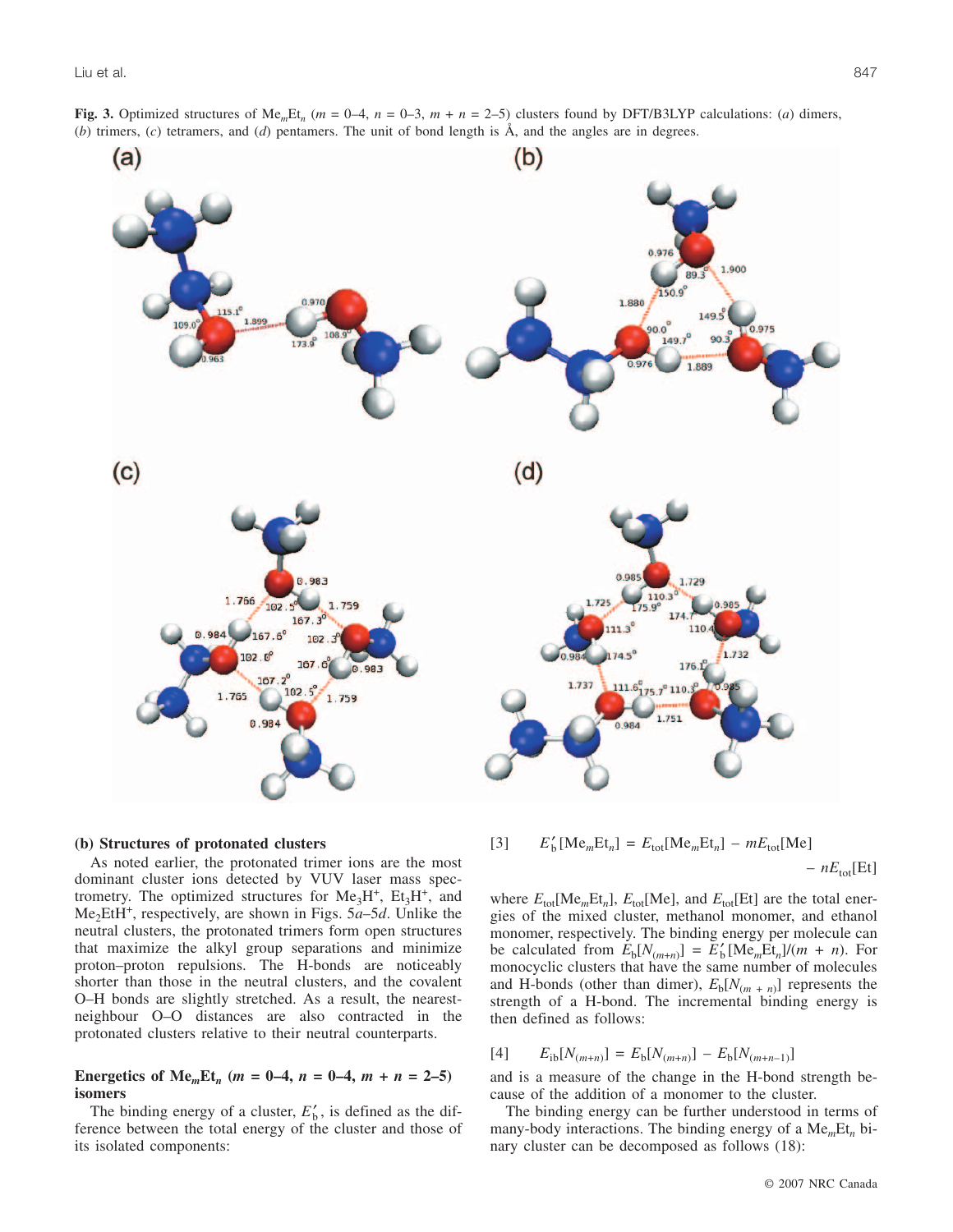

#### **(b) Structures of protonated clusters**

As noted earlier, the protonated trimer ions are the most dominant cluster ions detected by VUV laser mass spectrometry. The optimized structures for  $Me<sub>3</sub>H<sup>+</sup>$ ,  $Et<sub>3</sub>H<sup>+</sup>$ , and Me2EtH+, respectively, are shown in Figs. 5*a*–5*d*. Unlike the neutral clusters, the protonated trimers form open structures that maximize the alkyl group separations and minimize proton–proton repulsions. The H-bonds are noticeably shorter than those in the neutral clusters, and the covalent O–H bonds are slightly stretched. As a result, the nearestneighbour O–O distances are also contracted in the protonated clusters relative to their neutral counterparts.

# **Energetics of Me**<sub>*m*</sub>**Et**<sub>*n*</sub> ( $m = 0-4$ ,  $n = 0-4$ ,  $m + n = 2-5$ ) **isomers**

The binding energy of a cluster,  $E'_{b}$ , is defined as the difference between the total energy of the cluster and those of its isolated components:

# $E'_{\text{b}}[\text{Me}_{m}\text{Et}_{n}] = E_{\text{tot}}[\text{Me}_{m}\text{Et}_{n}] - mE_{\text{tot}}[\text{Me}]$  $- nE_{\text{tot}}[Et]$

where  $E_{\text{tot}}[\text{Me}_m\text{Et}_n]$ ,  $E_{\text{tot}}[\text{Me}]$ , and  $E_{\text{tot}}[\text{Et}]$  are the total energies of the mixed cluster, methanol monomer, and ethanol monomer, respectively. The binding energy per molecule can be calculated from  $E_b[N_{(m+n)}] = E'_b[Me_mEt_n]/(m+n)$ . For monocyclic clusters that have the same number of molecules and H-bonds (other than dimer),  $E_b[N_{(m+n)}]$  represents the strength of a H-bond. The incremental binding energy is then defined as follows:

$$
[4] \qquad E_{\rm ib}[N_{(m+n)}] = E_{\rm b}[N_{(m+n)}] - E_{\rm b}[N_{(m+n-1)}]
$$

and is a measure of the change in the H-bond strength because of the addition of a monomer to the cluster.

The binding energy can be further understood in terms of many-body interactions. The binding energy of a Me*m*Et*<sup>n</sup>* binary cluster can be decomposed as follows (18):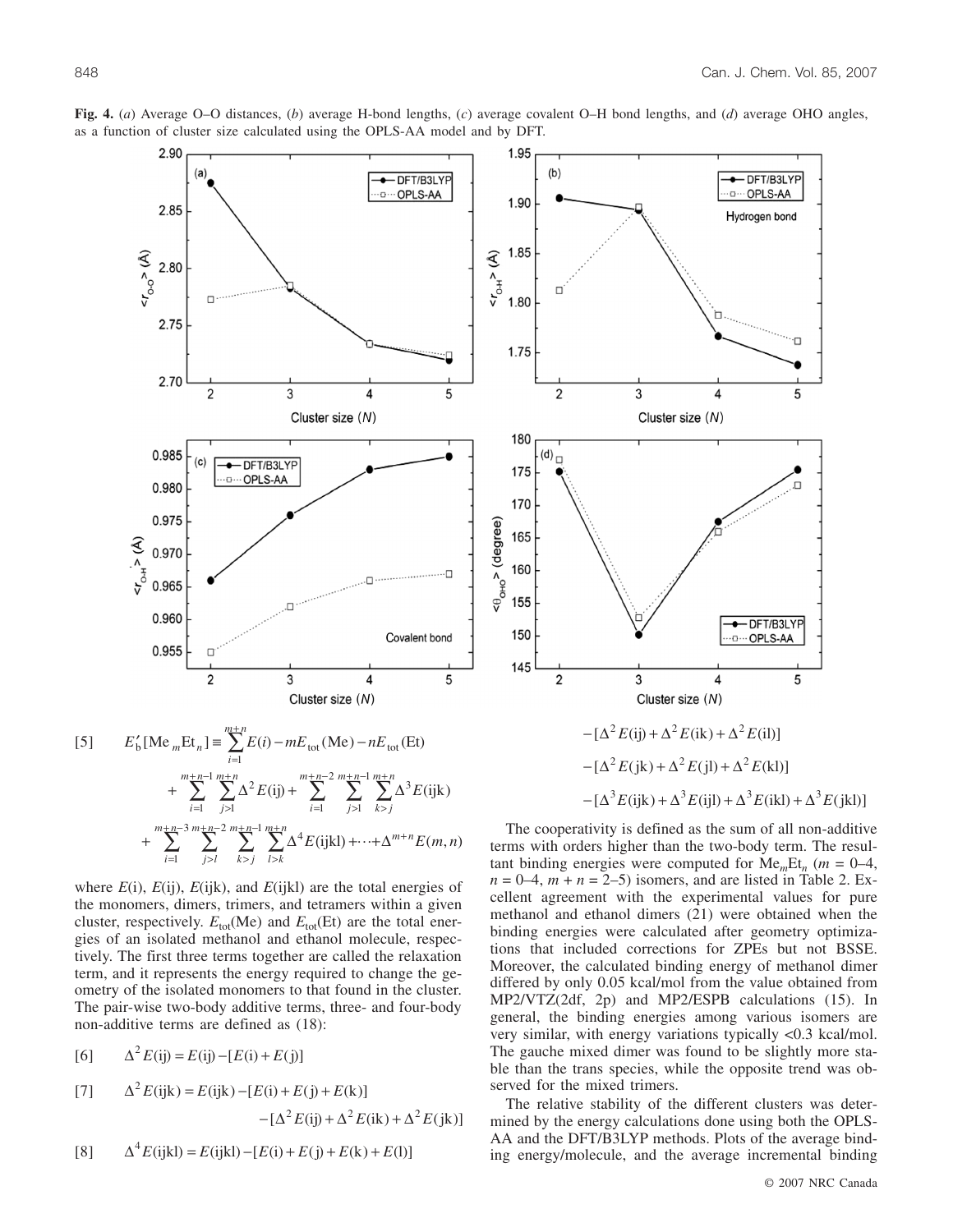

**Fig. 4.** (*a*) Average O–O distances, (*b*) average H-bond lengths, (*c*) average covalent O–H bond lengths, and (*d*) average OHO angles, as a function of cluster size calculated using the OPLS-AA model and by DFT.

$$
+\sum_{i=1}^{m+n-1} \sum_{j>1}^{m+n} \Delta^2 E(ij) + \sum_{i=1}^{m+n-2} \sum_{j>1}^{m+n-1} \sum_{k>j}^{m+n} \Delta^3 E(ijk)
$$
  
+
$$
\sum_{i=1}^{m+n-3} \sum_{j>1}^{m+n-2} \sum_{k>j}^{m+n-1} \sum_{l>k}^{m+n} \Delta^4 E(ijkl) + \cdots + \Delta^{m+n} E(m,n)
$$
  
where *E(i)*, *E(ii)*, *E(iik)*, and *E(iik)* are the total energies of

 $E(1)$ ,  $E(1)$ ,  $E(1)$ K), and  $E(1)$ KI) are the total energies the monomers, dimers, trimers, and tetramers within a given cluster, respectively.  $E_{tot}(Me)$  and  $E_{tot}(Et)$  are the total energies of an isolated methanol and ethanol molecule, respectively. The first three terms together are called the relaxation term, and it represents the energy required to change the geometry of the isolated monomers to that found in the cluster. The pair-wise two-body additive terms, three- and four-body non-additive terms are defined as (18):

[6] 
$$
\Delta^2 E(ij) = E(ij) - [E(i) + E(j)]
$$

[7] 
$$
\Delta^2 E(\text{ijk}) = E(\text{ijk}) - [E(\text{i}) + E(\text{j}) + E(\text{k})] - [\Delta^2 E(\text{ij}) + \Delta^2 E(\text{ik}) + \Delta^2 E(\text{jk})]
$$

[8] 
$$
\Delta^4 E(ijkl) = E(ijkl) - [E(i) + E(j) + E(k) + E(l)]
$$



The cooperativity is defined as the sum of all non-additive terms with orders higher than the two-body term. The resultant binding energies were computed for  $Me<sub>m</sub>Et<sub>n</sub>$  ( $m = 0-4$ ,  $n = 0-4$ ,  $m + n = 2-5$ ) isomers, and are listed in Table 2. Excellent agreement with the experimental values for pure methanol and ethanol dimers (21) were obtained when the binding energies were calculated after geometry optimizations that included corrections for ZPEs but not BSSE. Moreover, the calculated binding energy of methanol dimer differed by only 0.05 kcal/mol from the value obtained from MP2/VTZ(2df, 2p) and MP2/ESPB calculations (15). In general, the binding energies among various isomers are very similar, with energy variations typically <0.3 kcal/mol. The gauche mixed dimer was found to be slightly more stable than the trans species, while the opposite trend was observed for the mixed trimers.

The relative stability of the different clusters was determined by the energy calculations done using both the OPLS-AA and the DFT/B3LYP methods. Plots of the average binding energy/molecule, and the average incremental binding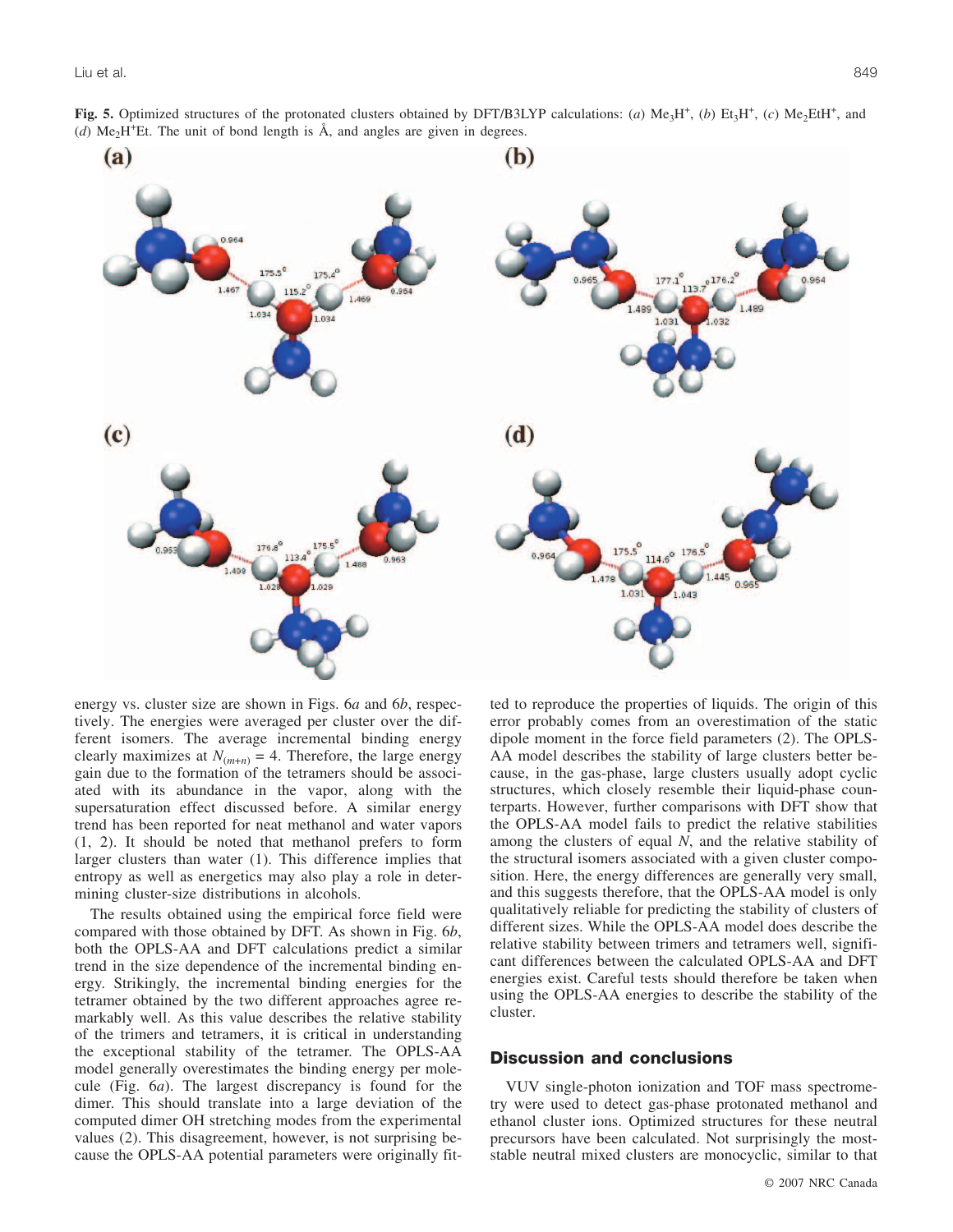

energy vs. cluster size are shown in Figs. 6*a* and 6*b*, respectively. The energies were averaged per cluster over the different isomers. The average incremental binding energy clearly maximizes at  $N_{(m+n)} = 4$ . Therefore, the large energy gain due to the formation of the tetramers should be associated with its abundance in the vapor, along with the supersaturation effect discussed before. A similar energy trend has been reported for neat methanol and water vapors (1, 2). It should be noted that methanol prefers to form larger clusters than water (1). This difference implies that entropy as well as energetics may also play a role in determining cluster-size distributions in alcohols.

The results obtained using the empirical force field were compared with those obtained by DFT. As shown in Fig. 6*b*, both the OPLS-AA and DFT calculations predict a similar trend in the size dependence of the incremental binding energy. Strikingly, the incremental binding energies for the tetramer obtained by the two different approaches agree remarkably well. As this value describes the relative stability of the trimers and tetramers, it is critical in understanding the exceptional stability of the tetramer. The OPLS-AA model generally overestimates the binding energy per molecule (Fig. 6*a*). The largest discrepancy is found for the dimer. This should translate into a large deviation of the computed dimer OH stretching modes from the experimental values (2). This disagreement, however, is not surprising because the OPLS-AA potential parameters were originally fitted to reproduce the properties of liquids. The origin of this error probably comes from an overestimation of the static dipole moment in the force field parameters (2). The OPLS-AA model describes the stability of large clusters better because, in the gas-phase, large clusters usually adopt cyclic structures, which closely resemble their liquid-phase counterparts. However, further comparisons with DFT show that the OPLS-AA model fails to predict the relative stabilities among the clusters of equal *N*, and the relative stability of the structural isomers associated with a given cluster composition. Here, the energy differences are generally very small, and this suggests therefore, that the OPLS-AA model is only qualitatively reliable for predicting the stability of clusters of different sizes. While the OPLS-AA model does describe the relative stability between trimers and tetramers well, significant differences between the calculated OPLS-AA and DFT energies exist. Careful tests should therefore be taken when using the OPLS-AA energies to describe the stability of the cluster.

#### **Discussion and conclusions**

VUV single-photon ionization and TOF mass spectrometry were used to detect gas-phase protonated methanol and ethanol cluster ions. Optimized structures for these neutral precursors have been calculated. Not surprisingly the moststable neutral mixed clusters are monocyclic, similar to that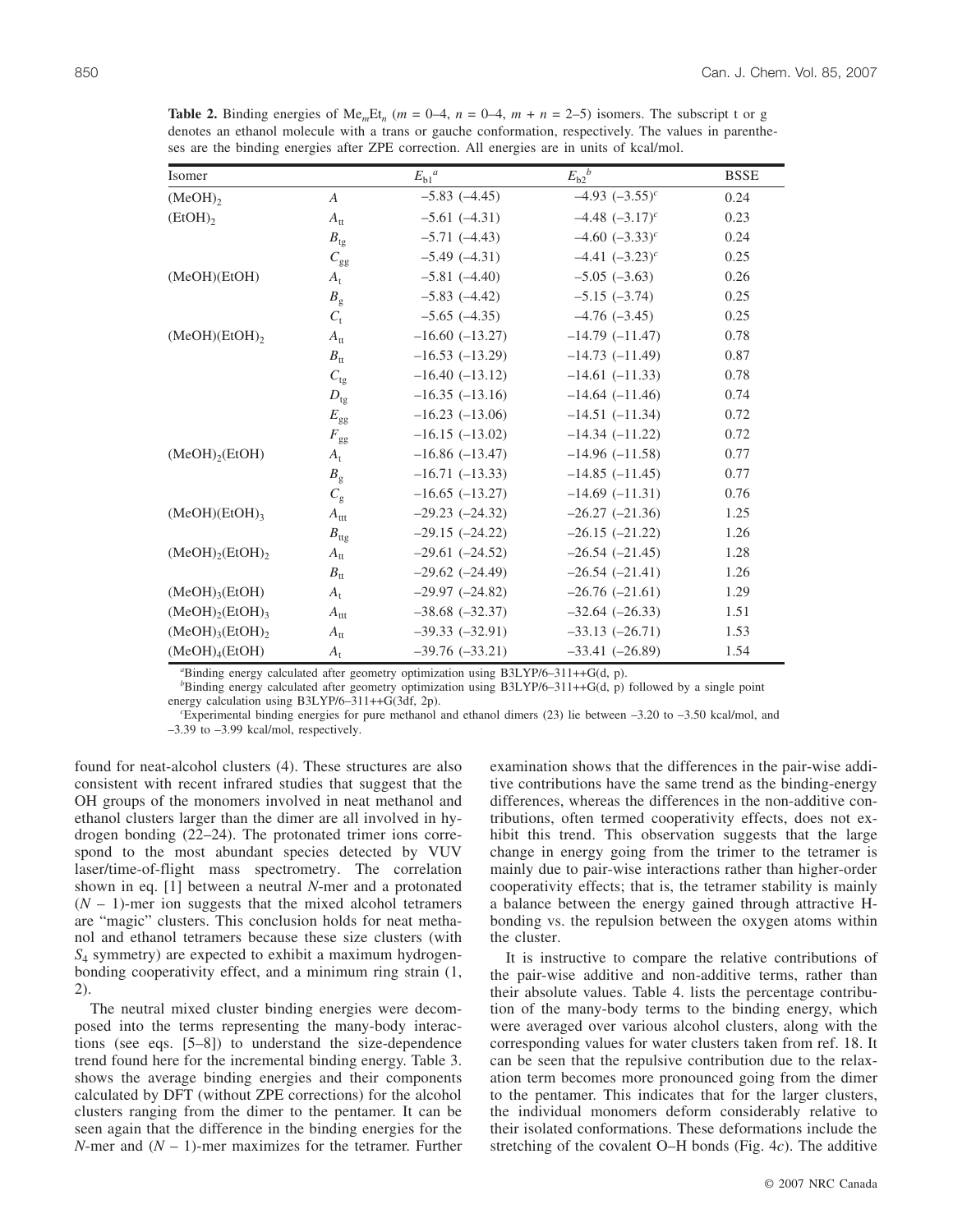Isomer  $E_{b1}^a$   $E_{b2}^b$  BSSE  $\overline{(MeOH)_2}$  *A*  $-5.83 (-4.45)$   $-4.93 (-3.55)^c$  0.24  $A_{tt}$  –5.61 (–4.31) –4.48 (–3.17)<sup>c</sup> 0.23 *B*<sub>tg</sub> –5.71 (–4.43) –4.60 (–3.33)<sup>c</sup> 0.24<br> *C*<sub>co</sub> –5.49 (–4.31) –4.41 (–3.23)<sup>c</sup> 0.25  $-5.49$  (-4.31)  $-4.41$  (-3.23)<sup>c</sup> 0.25 (MeOH)(EtOH) *A*<sub>t</sub> –5.81 (–4.40) –5.05 (–3.63) 0.26  $B_g$  –5.83 (–4.42) –5.15 (–3.74) 0.25  $C_t$  –5.65 (–4.35) –4.76 (–3.45) 0.25 (MeOH)(EtOH)2 *A*tt –16.60 (–13.27) –14.79 (–11.47) 0.78  $B_{\text{tt}}$  –16.53 (–13.29) –14.73 (–11.49) 0.87  $C_{\text{tg}}$  –16.40 (–13.12) –14.61 (–11.33) 0.78  $D_{\text{te}}$  –16.35 (–13.16) –14.64 (–11.46) 0.74 *E*gg –16.23 (–13.06) –14.51 (–11.34) 0.72  $F_{gg}$  –16.15 (–13.02) –14.34 (–11.22) 0.72 (MeOH)<sub>2</sub>(EtOH)  $A_t$  –16.86 (–13.47) –14.96 (–11.58) 0.77  $B_{\circ}$  –16.71 (–13.33) –14.85 (–11.45) 0.77  $C_{\rm g}$  –16.65 (–13.27) –14.69 (–11.31) 0.76 (MeOH)(EtOH)<sub>3</sub> *A*<sub>ttt</sub> –29.23 (–24.32) –26.27 (–21.36) 1.25 *B*<sub>tts</sub> –29.15 (–24.22) –26.15 (–21.22) 1.26 (MeOH)<sub>2</sub>(EtOH)<sub>2</sub> *A*<sub>tt</sub> –29.61 (–24.52) –26.54 (–21.45) 1.28  $B_{tt}$  –29.62 (–24.49) –26.54 (–21.41) 1.26 (MeOH)<sub>3</sub>(EtOH)  $A_t$  –29.97 (–24.82) –26.76 (–21.61) 1.29 (MeOH)<sub>2</sub>(EtOH)<sub>3</sub> *A*<sub>ttt</sub> –38.68 (–32.37) –32.64 (–26.33) 1.51 (MeOH)<sub>3</sub>(EtOH)<sub>2</sub> *A*<sub>tt</sub> –39.33 (–32.91) –33.13 (–26.71) 1.53 (MeOH)<sub>4</sub>(EtOH)  $A_t$  –39.76 (–33.21) –33.41 (–26.89) 1.54

**Table 2.** Binding energies of Me<sub>m</sub>Et<sub>n</sub> ( $m = 0-4$ ,  $n = 0-4$ ,  $m + n = 2-5$ ) isomers. The subscript t or g denotes an ethanol molecule with a trans or gauche conformation, respectively. The values in parentheses are the binding energies after ZPE correction. All energies are in units of kcal/mol.

*a* Binding energy calculated after geometry optimization using B3LYP/6–311++G(d, p).

*b* Binding energy calculated after geometry optimization using B3LYP/6–311++G(d, p) followed by a single point energy calculation using B3LYP/6-311++G(3df, 2p).

Experimental binding energies for pure methanol and ethanol dimers (23) lie between –3.20 to –3.50 kcal/mol, and –3.39 to –3.99 kcal/mol, respectively.

found for neat-alcohol clusters (4). These structures are also consistent with recent infrared studies that suggest that the OH groups of the monomers involved in neat methanol and ethanol clusters larger than the dimer are all involved in hydrogen bonding (22–24). The protonated trimer ions correspond to the most abundant species detected by VUV laser/time-of-flight mass spectrometry. The correlation shown in eq. [1] between a neutral *N*-mer and a protonated  $(N - 1)$ -mer ion suggests that the mixed alcohol tetramers are "magic" clusters. This conclusion holds for neat methanol and ethanol tetramers because these size clusters (with *S*<sup>4</sup> symmetry) are expected to exhibit a maximum hydrogenbonding cooperativity effect, and a minimum ring strain (1, 2).

The neutral mixed cluster binding energies were decomposed into the terms representing the many-body interactions (see eqs. [5–8]) to understand the size-dependence trend found here for the incremental binding energy. Table 3. shows the average binding energies and their components calculated by DFT (without ZPE corrections) for the alcohol clusters ranging from the dimer to the pentamer. It can be seen again that the difference in the binding energies for the *N*-mer and  $(N - 1)$ -mer maximizes for the tetramer. Further examination shows that the differences in the pair-wise additive contributions have the same trend as the binding-energy differences, whereas the differences in the non-additive contributions, often termed cooperativity effects, does not exhibit this trend. This observation suggests that the large change in energy going from the trimer to the tetramer is mainly due to pair-wise interactions rather than higher-order cooperativity effects; that is, the tetramer stability is mainly a balance between the energy gained through attractive Hbonding vs. the repulsion between the oxygen atoms within the cluster.

It is instructive to compare the relative contributions of the pair-wise additive and non-additive terms, rather than their absolute values. Table 4. lists the percentage contribution of the many-body terms to the binding energy, which were averaged over various alcohol clusters, along with the corresponding values for water clusters taken from ref. 18. It can be seen that the repulsive contribution due to the relaxation term becomes more pronounced going from the dimer to the pentamer. This indicates that for the larger clusters, the individual monomers deform considerably relative to their isolated conformations. These deformations include the stretching of the covalent O–H bonds (Fig. 4*c*). The additive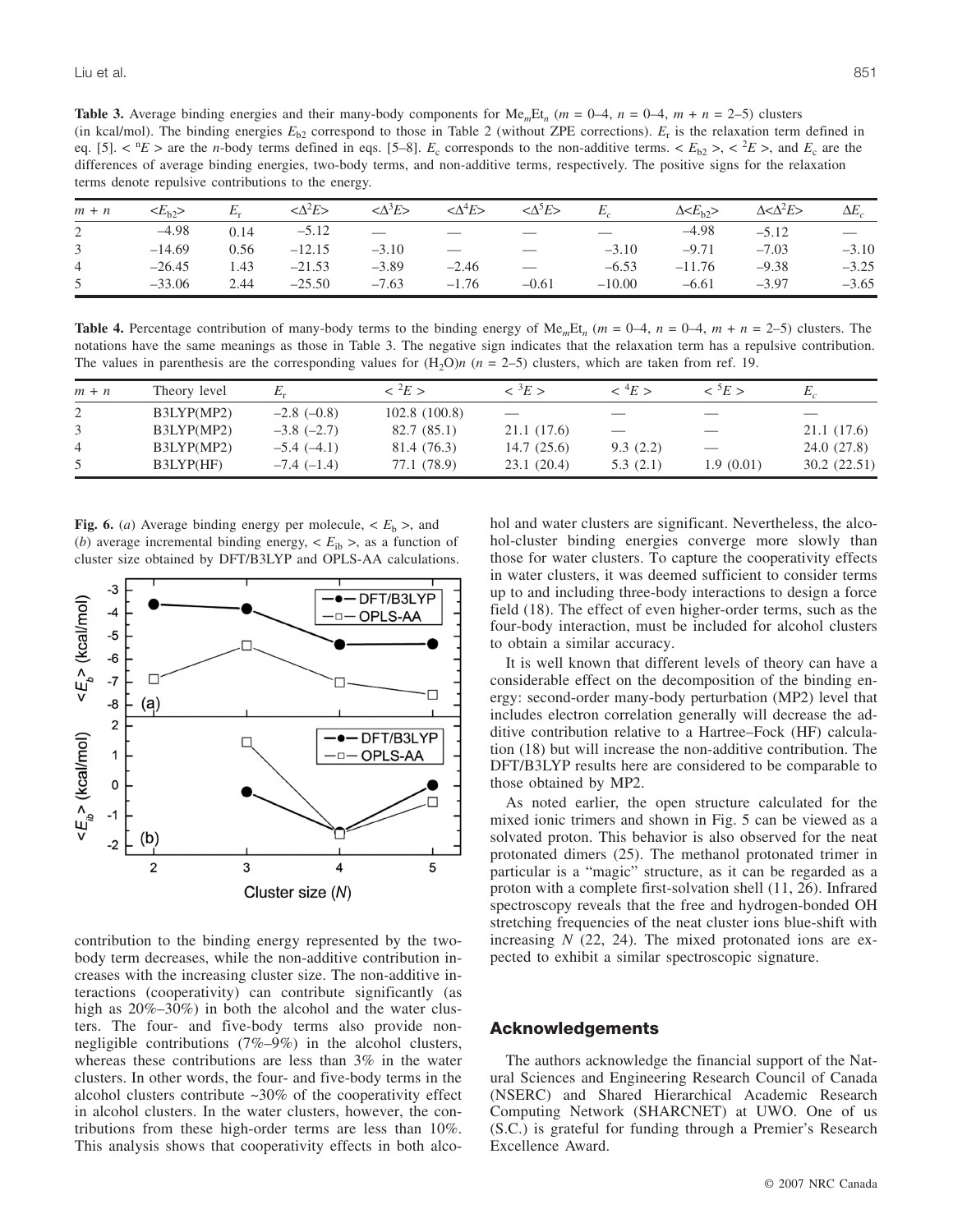**Table 3.** Average binding energies and their many-body components for  $Me_mEt_n$  ( $m = 0-4$ ,  $n = 0-4$ ,  $m + n = 2-5$ ) clusters (in kcal/mol). The binding energies  $E_{b2}$  correspond to those in Table 2 (without ZPE corrections).  $E_r$  is the relaxation term defined in eq. [5].  $\langle E \rangle^2 E$  are the *n*-body terms defined in eqs. [5–8].  $E_c$  corresponds to the non-additive terms.  $\langle E_{b2} \rangle^2 E^2 E^2$ , and  $E_c$  are the differences of average binding energies, two-body terms, and non-additive terms, respectively. The positive signs for the relaxation terms denote repulsive contributions to the energy.

| $m + n$        | $\langle E_{h2} \rangle$ | $E_r$ | $<\!\!\Delta^2E\!\!>$ | $<\!\!\Delta^3E\!\!>$ | $<\!\!\Delta^4E\!\!>$ | $<\!\!\Delta^5E\!\!>$ | $E_{\cdot}$ | $\Delta \leq E_{\rm b}$ | $\Delta < \Delta^2 E$ | $\Delta E$ |
|----------------|--------------------------|-------|-----------------------|-----------------------|-----------------------|-----------------------|-------------|-------------------------|-----------------------|------------|
| $\overline{2}$ | $-4.98$                  | 0.14  | $-5.12$               |                       |                       |                       |             | $-4.98$                 | $-5.12$               |            |
| $\mathfrak{Z}$ | $-14.69$                 | 0.56  | $-12.15$              | $-3.10$               |                       |                       | $-3.10$     | $-9.71$                 | $-7.03$               | $-3.10$    |
| $\overline{4}$ | $-26.45$                 | 1.43  | $-21.53$              | $-3.89$               | $-2.46$               |                       | $-6.53$     | $-11.76$                | $-9.38$               | $-3.25$    |
| 5              | $-33.06$                 | 2.44  | $-25.50$              | $-7.63$               | $-1.76$               | $-0.61$               | $-10.00$    | $-6.61$                 | $-3.97$               | $-3.65$    |

**Table 4.** Percentage contribution of many-body terms to the binding energy of  $\text{Me}_{m}Et_{n}$  ( $m = 0-4$ ,  $n = 0-4$ ,  $m + n = 2-5$ ) clusters. The notations have the same meanings as those in Table 3. The negative sign indicates that the relaxation term has a repulsive contribution. The values in parenthesis are the corresponding values for  $(H_2O)n$  ( $n = 2-5$ ) clusters, which are taken from ref. 19.

| $m + n$ | Theory level |                   | $\langle ^2E \rangle$ | $\langle \partial E \rangle$ | $\rm <$ $4E$ $>$                | $\langle ^5E>$           | Ľ,          |
|---------|--------------|-------------------|-----------------------|------------------------------|---------------------------------|--------------------------|-------------|
| 2       | B3LYP(MP2)   | $-2.8$ ( $-0.8$ ) | 102.8(100.8)          |                              | $\frac{1}{2}$                   | $\overline{\phantom{a}}$ |             |
|         | B3LYP(MP2)   | $-3.8$ $(-2.7)$   | 82.7(85.1)            | 21.1 (17.6)                  | $\overbrace{\qquad \qquad }^{}$ | $\hspace{0.05cm}$        | 21.1 (17.6) |
| 4       | B3LYP(MP2)   | $-5.4(-4.1)$      | 81.4 (76.3)           | 14.7(25.6)                   | 9.3(2.2)                        | $\overline{\phantom{m}}$ | 24.0 (27.8) |
|         | B3LYP(HF)    | $-7.4(-1.4)$      | 77.1 (78.9)           | 23.1(20.4)                   | 5.3(2.1)                        | 1.9(0.01)                | 30.2(22.51) |

**Fig. 6.** (*a*) Average binding energy per molecule,  $\lt E_b$  >, and (*b*) average incremental binding energy,  $\langle E_{\text{ib}} \rangle$ , as a function of cluster size obtained by DFT/B3LYP and OPLS-AA calculations.



contribution to the binding energy represented by the twobody term decreases, while the non-additive contribution increases with the increasing cluster size. The non-additive interactions (cooperativity) can contribute significantly (as high as  $20\% - 30\%$  in both the alcohol and the water clusters. The four- and five-body terms also provide nonnegligible contributions (7%–9%) in the alcohol clusters, whereas these contributions are less than 3% in the water clusters. In other words, the four- and five-body terms in the alcohol clusters contribute  $~30\%$  of the cooperativity effect in alcohol clusters. In the water clusters, however, the contributions from these high-order terms are less than 10%. This analysis shows that cooperativity effects in both alco-

hol and water clusters are significant. Nevertheless, the alcohol-cluster binding energies converge more slowly than those for water clusters. To capture the cooperativity effects in water clusters, it was deemed sufficient to consider terms up to and including three-body interactions to design a force field (18). The effect of even higher-order terms, such as the four-body interaction, must be included for alcohol clusters to obtain a similar accuracy.

It is well known that different levels of theory can have a considerable effect on the decomposition of the binding energy: second-order many-body perturbation (MP2) level that includes electron correlation generally will decrease the additive contribution relative to a Hartree–Fock (HF) calculation (18) but will increase the non-additive contribution. The DFT/B3LYP results here are considered to be comparable to those obtained by MP2.

As noted earlier, the open structure calculated for the mixed ionic trimers and shown in Fig. 5 can be viewed as a solvated proton. This behavior is also observed for the neat protonated dimers (25). The methanol protonated trimer in particular is a "magic" structure, as it can be regarded as a proton with a complete first-solvation shell (11, 26). Infrared spectroscopy reveals that the free and hydrogen-bonded OH stretching frequencies of the neat cluster ions blue-shift with increasing *N* (22, 24). The mixed protonated ions are expected to exhibit a similar spectroscopic signature.

# **Acknowledgements**

The authors acknowledge the financial support of the Natural Sciences and Engineering Research Council of Canada (NSERC) and Shared Hierarchical Academic Research Computing Network (SHARCNET) at UWO. One of us (S.C.) is grateful for funding through a Premier's Research Excellence Award.